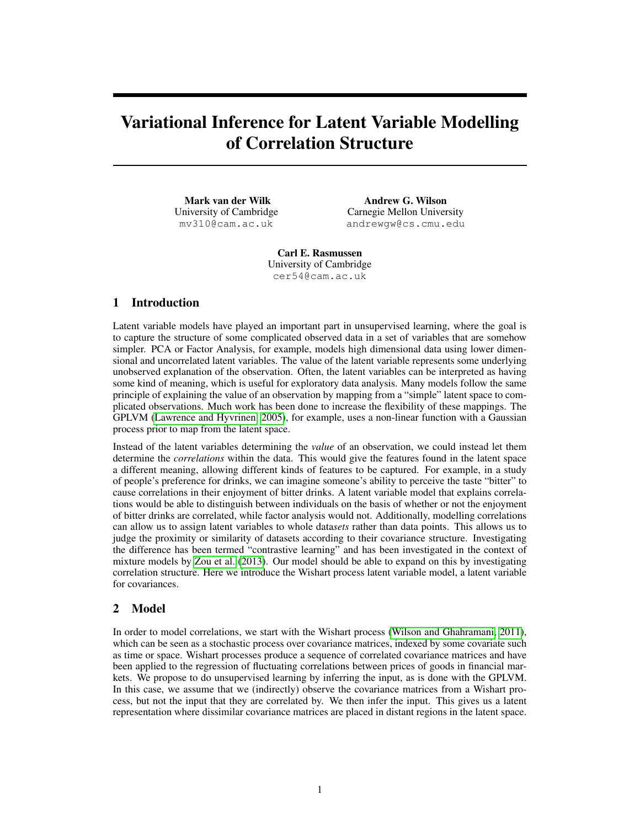# Variational Inference for Latent Variable Modelling of Correlation Structure

Mark van der Wilk University of Cambridge mv310@cam.ac.uk

Andrew G. Wilson Carnegie Mellon University andrewgw@cs.cmu.edu

Carl E. Rasmussen University of Cambridge cer54@cam.ac.uk

## 1 Introduction

Latent variable models have played an important part in unsupervised learning, where the goal is to capture the structure of some complicated observed data in a set of variables that are somehow simpler. PCA or Factor Analysis, for example, models high dimensional data using lower dimensional and uncorrelated latent variables. The value of the latent variable represents some underlying unobserved explanation of the observation. Often, the latent variables can be interpreted as having some kind of meaning, which is useful for exploratory data analysis. Many models follow the same principle of explaining the value of an observation by mapping from a "simple" latent space to complicated observations. Much work has been done to increase the flexibility of these mappings. The GPLVM [\(Lawrence and Hyvrinen, 2005\)](#page-4-0), for example, uses a non-linear function with a Gaussian process prior to map from the latent space.

Instead of the latent variables determining the *value* of an observation, we could instead let them determine the *correlations* within the data. This would give the features found in the latent space a different meaning, allowing different kinds of features to be captured. For example, in a study of people's preference for drinks, we can imagine someone's ability to perceive the taste "bitter" to cause correlations in their enjoyment of bitter drinks. A latent variable model that explains correlations would be able to distinguish between individuals on the basis of whether or not the enjoyment of bitter drinks are correlated, while factor analysis would not. Additionally, modelling correlations can allow us to assign latent variables to whole data*sets* rather than data points. This allows us to judge the proximity or similarity of datasets according to their covariance structure. Investigating the difference has been termed "contrastive learning" and has been investigated in the context of mixture models by [Zou et al.](#page-4-1) [\(2013\)](#page-4-1). Our model should be able to expand on this by investigating correlation structure. Here we introduce the Wishart process latent variable model, a latent variable for covariances.

# 2 Model

In order to model correlations, we start with the Wishart process [\(Wilson and Ghahramani, 2011\)](#page-4-2), which can be seen as a stochastic process over covariance matrices, indexed by some covariate such as time or space. Wishart processes produce a sequence of correlated covariance matrices and have been applied to the regression of fluctuating correlations between prices of goods in financial markets. We propose to do unsupervised learning by inferring the input, as is done with the GPLVM. In this case, we assume that we (indirectly) observe the covariance matrices from a Wishart process, but not the input that they are correlated by. We then infer the input. This gives us a latent representation where dissimilar covariance matrices are placed in distant regions in the latent space.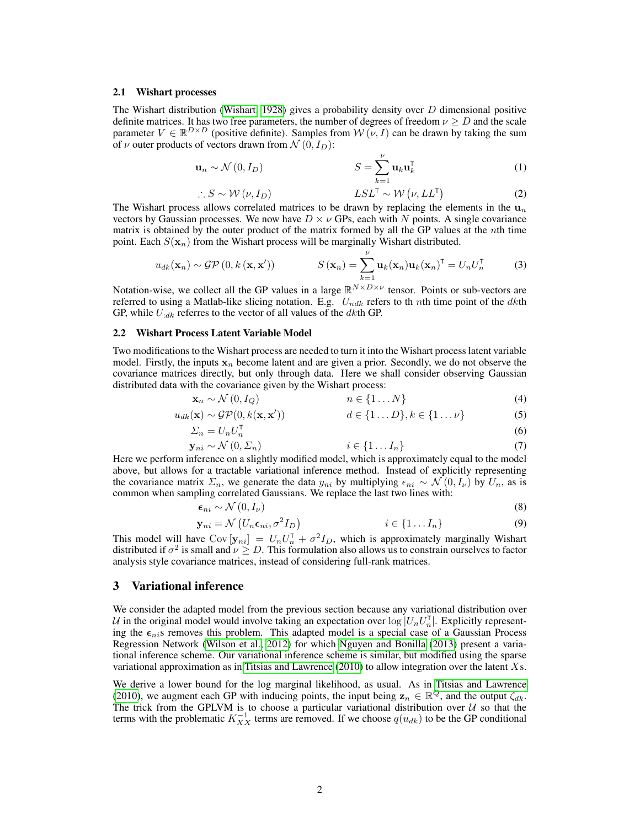#### 2.1 Wishart processes

The Wishart distribution [\(Wishart, 1928\)](#page-4-3) gives a probability density over  $D$  dimensional positive definite matrices. It has two free parameters, the number of degrees of freedom  $\nu \geq D$  and the scale parameter  $V \in \mathbb{R}^{D \times D}$  (positive definite). Samples from  $W(\nu, I)$  can be drawn by taking the sum of  $\nu$  outer products of vectors drawn from  $\mathcal{N}(0, I_D)$ :

$$
\mathbf{u}_n \sim \mathcal{N}(0, I_D) \qquad S = \sum_{k=1}^{\nu} \mathbf{u}_k \mathbf{u}_k^{\mathsf{T}}
$$
 (1)

$$
\therefore S \sim \mathcal{W}(\nu, I_D) \qquad \qquad LSL^{\mathsf{T}} \sim \mathcal{W}(\nu, LL^{\mathsf{T}}) \tag{2}
$$

The Wishart process allows correlated matrices to be drawn by replacing the elements in the  $u_n$ vectors by Gaussian processes. We now have  $D \times \nu$  GPs, each with N points. A single covariance matrix is obtained by the outer product of the matrix formed by all the GP values at the nth time point. Each  $S(\mathbf{x}_n)$  from the Wishart process will be marginally Wishart distributed.

$$
u_{dk}(\mathbf{x}_n) \sim \mathcal{GP}\left(0, k\left(\mathbf{x}, \mathbf{x}'\right)\right) \qquad \qquad S\left(\mathbf{x}_n\right) = \sum_{k=1}^{\nu} \mathbf{u}_k(\mathbf{x}_n) \mathbf{u}_k(\mathbf{x}_n)^{\mathsf{T}} = U_n U_n^{\mathsf{T}} \qquad (3)
$$

Notation-wise, we collect all the GP values in a large  $\mathbb{R}^{N \times D \times \nu}$  tensor. Points or sub-vectors are referred to using a Matlab-like slicing notation. E.g.  $U_{ndk}$  refers to the nth time point of the dkth GP, while  $U_{:dk}$  referres to the vector of all values of the dkth GP.

#### 2.2 Wishart Process Latent Variable Model

Two modifications to the Wishart process are needed to turn it into the Wishart process latent variable model. Firstly, the inputs  $x_n$  become latent and are given a prior. Secondly, we do not observe the covariance matrices directly, but only through data. Here we shall consider observing Gaussian distributed data with the covariance given by the Wishart process:

$$
\mathbf{x}_n \sim \mathcal{N}(0, I_Q) \qquad \qquad n \in \{1 \dots N\} \tag{4}
$$

$$
u_{dk}(\mathbf{x}) \sim \mathcal{GP}(0, k(\mathbf{x}, \mathbf{x}')) \qquad d \in \{1...D\}, k \in \{1...v\}
$$
 (5)

$$
\Sigma_n = U_n U_n^{\mathsf{T}} \tag{6}
$$

$$
\mathbf{y}_{ni} \sim \mathcal{N}\left(0, \Sigma_n\right) \qquad \qquad i \in \{1 \dots I_n\} \tag{7}
$$

Here we perform inference on a slightly modified model, which is approximately equal to the model above, but allows for a tractable variational inference method. Instead of explicitly representing the covariance matrix  $\Sigma_n$ , we generate the data  $y_{ni}$  by multiplying  $\epsilon_{ni} \sim \mathcal{N}(0, I_\nu)$  by  $U_n$ , as is common when sampling correlated Gaussians. We replace the last two lines with:

$$
\epsilon_{ni} \sim \mathcal{N}\left(0, I_{\nu}\right) \tag{8}
$$

$$
\mathbf{y}_{ni} = \mathcal{N}\left(U_n \boldsymbol{\epsilon}_{ni}, \sigma^2 I_D\right) \qquad \qquad i \in \{1 \dots I_n\} \tag{9}
$$

This model will have  $Cov[\mathbf{y}_{ni}] = U_n U_n^{\mathsf{T}} + \sigma^2 I_D$ , which is approximately marginally Wishart distributed if  $\sigma^2$  is small and  $\nu \geq D$ . This formulation also allows us to constrain ourselves to factor analysis style covariance matrices, instead of considering full-rank matrices.

#### 3 Variational inference

We consider the adapted model from the previous section because any variational distribution over U in the original model would involve taking an expectation over  $\log |U_n U_n^{\intercal}|$ . Explicitly representing the  $\epsilon_{ni}$ s removes this problem. This adapted model is a special case of a Gaussian Process Regression Network [\(Wilson et al., 2012\)](#page-4-4) for which [Nguyen and Bonilla](#page-4-5) [\(2013\)](#page-4-5) present a variational inference scheme. Our variational inference scheme is similar, but modified using the sparse variational approximation as in [Titsias and Lawrence](#page-4-6) [\(2010\)](#page-4-6) to allow integration over the latent Xs.

We derive a lower bound for the log marginal likelihood, as usual. As in [Titsias and Lawrence](#page-4-6) [\(2010\)](#page-4-6), we augment each GP with inducing points, the input being  $z_n \in \mathbb{R}^Q$ , and the output  $\zeta_{dk}$ . The trick from the GPLVM is to choose a particular variational distribution over  $U$  so that the terms with the problematic  $K_{XX}^{-1}$  terms are removed. If we choose  $q(u_{dk})$  to be the GP conditional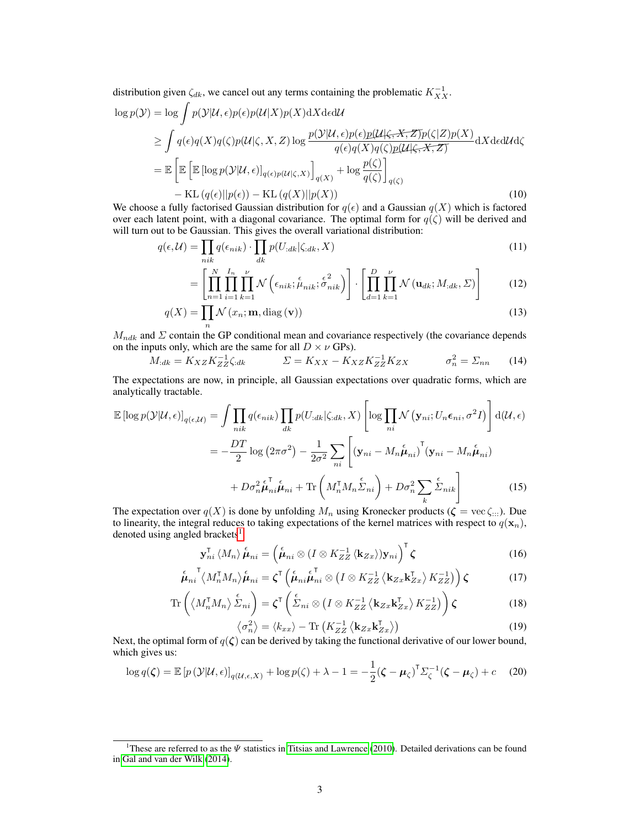distribution given  $\zeta_{dk}$ , we cancel out any terms containing the problematic  $K_{XX}^{-1}$ .

$$
\log p(\mathcal{Y}) = \log \int p(\mathcal{Y}|\mathcal{U}, \epsilon) p(\epsilon) p(\mathcal{U}|X) p(X) dX d\epsilon d\mathcal{U}
$$
  
\n
$$
\geq \int q(\epsilon) q(X) q(\zeta) p(\mathcal{U}|\zeta, X, Z) \log \frac{p(\mathcal{Y}|\mathcal{U}, \epsilon) p(\epsilon) p(\mathcal{U}|\zeta, X, Z) p(\zeta) p(X)}{q(\epsilon) q(X) q(\zeta) p(\mathcal{U}|\zeta, X, Z)} dX d\epsilon d\mathcal{U} d\zeta
$$
  
\n
$$
= \mathbb{E} \left[ \mathbb{E} \left[ \log p(\mathcal{Y}|\mathcal{U}, \epsilon) \right]_{q(\epsilon) p(\mathcal{U}|\zeta, X)} \right]_{q(X)} + \log \frac{p(\zeta)}{q(\zeta)} \right]_{q(\zeta)}
$$
  
\n
$$
- \text{KL}(q(\epsilon) || p(\epsilon)) - \text{KL}(q(X) || p(X)) \tag{10}
$$

We choose a fully factorised Gaussian distribution for  $q(\epsilon)$  and a Gaussian  $q(X)$  which is factored over each latent point, with a diagonal covariance. The optimal form for  $q(\zeta)$  will be derived and will turn out to be Gaussian. This gives the overall variational distribution:

$$
q(\epsilon, \mathcal{U}) = \prod_{nik} q(\epsilon_{nik}) \cdot \prod_{dk} p(U_{:dk}|\zeta_{:dk}, X)
$$
\n(11)

$$
= \left[ \prod_{n=1}^{N} \prod_{i=1}^{I_n} \prod_{k=1}^{\nu} \mathcal{N} \left( \epsilon_{nik}; \stackrel{\epsilon}{\mu}_{nik}; \stackrel{\epsilon^2}{\sigma}_{nik} \right) \right] \cdot \left[ \prod_{d=1}^{D} \prod_{k=1}^{\nu} \mathcal{N} \left( \mathbf{u}_{dk}; M_{:dk}, \Sigma \right) \right]
$$
(12)

$$
q(X) = \prod_{n} \mathcal{N}(x_n; \mathbf{m}, \text{diag}(\mathbf{v}))
$$
\n(13)

 $M_{ndk}$  and  $\Sigma$  contain the GP conditional mean and covariance respectively (the covariance depends on the inputs only, which are the same for all  $D \times \nu$  GPs).

$$
M_{:dk} = K_{XZ} K_{ZZ}^{-1} \zeta_{:dk} \qquad \qquad \Sigma = K_{XX} - K_{XZ} K_{ZZ}^{-1} K_{ZX} \qquad \qquad \sigma_n^2 = \Sigma_{nn} \qquad (14)
$$

The expectations are now, in principle, all Gaussian expectations over quadratic forms, which are analytically tractable. #

$$
\mathbb{E}\left[\log p(\mathcal{Y}|\mathcal{U}, \epsilon)\right]_{q(\epsilon, \mathcal{U})} = \int \prod_{nik} q(\epsilon_{nik}) \prod_{dk} p(U_{:dk}|\zeta_{:dk}, X) \left[\log \prod_{ni} \mathcal{N}\left(\mathbf{y}_{ni}; U_n \epsilon_{ni}, \sigma^2 I\right)\right] d(\mathcal{U}, \epsilon)
$$

$$
= -\frac{DT}{2} \log \left(2\pi\sigma^2\right) - \frac{1}{2\sigma^2} \sum_{ni} \left[\left(\mathbf{y}_{ni} - M_n \overset{\epsilon}{\mu}_{ni}\right)^{\mathsf{T}}\left(\mathbf{y}_{ni} - M_n \overset{\epsilon}{\mu}_{ni}\right) + D \sigma_n^2 \underset{k}{\sum} \overset{\epsilon}{\Sigma}_{nik}\right]
$$
(15)

The expectation over  $q(X)$  is done by unfolding  $M_n$  using Kronecker products ( $\zeta = \text{vec } \zeta_{:::}$ ). Due to linearity, the integral reduces to taking expectations of the kernel matrices with respect to  $q(\mathbf{x}_n)$ , denoted using angled brackets<sup>[1](#page-2-0)</sup>.

$$
\mathbf{y}_{ni}^{\mathsf{T}} \langle M_n \rangle \overset{\epsilon}{\mu}_{ni} = \left( \overset{\epsilon}{\mu}_{ni} \otimes (I \otimes K_{ZZ}^{-1} \langle \mathbf{k}_{Zx} \rangle) \mathbf{y}_{ni} \right)^{\mathsf{T}} \zeta
$$
 (16)

$$
\stackrel{\epsilon}{\mu}_{ni}^{\dagger} \langle M_n^{\dagger} M_n \rangle \stackrel{\epsilon}{\mu}_{ni} = \zeta^{\dagger} \left( \stackrel{\epsilon}{\mu}_{ni} \stackrel{\epsilon}{\mu}_{ni}^{\dagger} \otimes \left( I \otimes K_{ZZ}^{-1} \langle \mathbf{k}_{Zx} \mathbf{k}_{Zx}^{\dagger} \rangle K_{ZZ}^{-1} \right) \right) \zeta \tag{17}
$$

$$
\operatorname{Tr}\left(\left\langle M_n^{\mathsf{T}}M_n\right\rangle \stackrel{\epsilon}{\Sigma}_{ni}\right) = \zeta^{\mathsf{T}}\left(\stackrel{\epsilon}{\Sigma}_{ni}\otimes\left(I\otimes K_{ZZ}^{-1}\left\langle \mathbf{k}_{Zx}\mathbf{k}_{Zx}^{\mathsf{T}}\right\rangle K_{ZZ}^{-1}\right)\right)\zeta\tag{18}
$$

$$
\left\langle \sigma_n^2 \right\rangle = \left\langle k_{xx} \right\rangle - \text{Tr}\left(K_{ZZ}^{-1} \left\langle \mathbf{k}_{Zx} \mathbf{k}_{Zx}^\mathsf{T} \right\rangle \right) \tag{19}
$$

Next, the optimal form of  $q(\zeta)$  can be derived by taking the functional derivative of our lower bound, which gives us:

$$
\log q(\zeta) = \mathbb{E}\left[p\left(\mathcal{Y}|\mathcal{U}, \epsilon\right)\right]_{q(\mathcal{U}, \epsilon, X)} + \log p(\zeta) + \lambda - 1 = -\frac{1}{2}(\zeta - \mu_{\zeta})^{\mathsf{T}} \Sigma_{\zeta}^{-1}(\zeta - \mu_{\zeta}) + c \quad (20)
$$

<span id="page-2-0"></span><sup>&</sup>lt;sup>1</sup>These are referred to as the  $\Psi$  statistics in [Titsias and Lawrence](#page-4-6) [\(2010\)](#page-4-6). Detailed derivations can be found in [Gal and van der Wilk](#page-4-7) [\(2014\)](#page-4-7).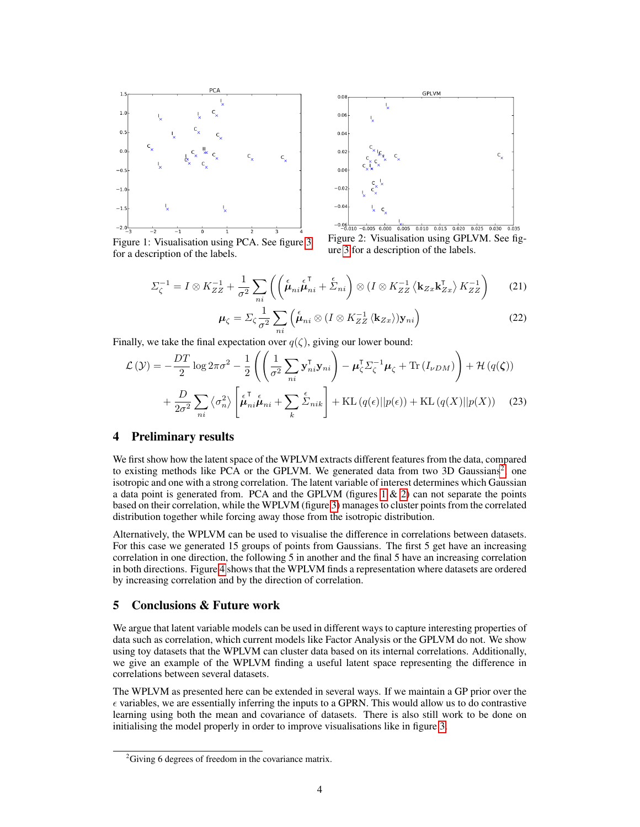

Figure 1: Visualisation using PCA. See figure [3](#page-4-8) for a description of the labels.



<span id="page-3-2"></span>Figure 2: Visualisation using GPLVM. See figure [3](#page-4-8) for a description of the labels.

<span id="page-3-1"></span>
$$
\Sigma_{\zeta}^{-1} = I \otimes K_{ZZ}^{-1} + \frac{1}{\sigma^2} \sum_{ni} \left( \left( \stackrel{\epsilon}{\mu}_{ni} \stackrel{\epsilon}{\mu}_{ni}^{\mathsf{T}} + \stackrel{\epsilon}{\Sigma}_{ni} \right) \otimes (I \otimes K_{ZZ}^{-1} \langle k_{Zx} k_{Zx}^{\mathsf{T}} \rangle K_{ZZ}^{-1} \right) \tag{21}
$$

$$
\mu_{\zeta} = \Sigma_{\zeta} \frac{1}{\sigma^2} \sum_{ni} \left( \stackrel{\epsilon}{\mu}_{ni} \otimes (I \otimes K_{ZZ}^{-1} \langle k_{Zx} \rangle) \mathbf{y}_{ni} \right)
$$
(22)

Finally, we take the final expectation over  $q(\zeta)$ , giving our lower bound:

$$
\mathcal{L}(\mathcal{Y}) = -\frac{DT}{2}\log 2\pi\sigma^2 - \frac{1}{2}\left(\left(\frac{1}{\sigma^2}\sum_{ni}\mathbf{y}_{ni}^{\mathsf{T}}\mathbf{y}_{ni}\right) - \boldsymbol{\mu}_{\zeta}^{\mathsf{T}}\boldsymbol{\Sigma}_{\zeta}^{-1}\boldsymbol{\mu}_{\zeta} + \text{Tr}\left(I_{\nu DM}\right)\right) + \mathcal{H}\left(q(\zeta)\right) + \frac{D}{2\sigma^2}\sum_{ni}\left\langle\sigma_{ni}^2\right\rangle\left[\mu_{ni}^{\mathsf{T}}\mu_{ni} + \sum_{k}\sum_{n}^{\epsilon}\hat{L}_{nik}\right] + \text{KL}\left(q(\epsilon)||p(\epsilon)\right) + \text{KL}\left(q(X)||p(X)\right) \tag{23}
$$

## 4 Preliminary results

We first show how the latent space of the WPLVM extracts different features from the data, compared to existing methods like PCA or the GPLVM. We generated data from two 3D Gaussians<sup>[2](#page-3-0)</sup>, one isotropic and one with a strong correlation. The latent variable of interest determines which Gaussian a data point is generated from. PCA and the GPLVM (figures  $1 \& 2$ ) can not separate the points based on their correlation, while the WPLVM (figure [3\)](#page-4-8) manages to cluster points from the correlated distribution together while forcing away those from the isotropic distribution.

Alternatively, the WPLVM can be used to visualise the difference in correlations between datasets. For this case we generated 15 groups of points from Gaussians. The first 5 get have an increasing correlation in one direction, the following 5 in another and the final 5 have an increasing correlation in both directions. Figure [4](#page-4-9) shows that the WPLVM finds a representation where datasets are ordered by increasing correlation and by the direction of correlation.

## 5 Conclusions & Future work

We argue that latent variable models can be used in different ways to capture interesting properties of data such as correlation, which current models like Factor Analysis or the GPLVM do not. We show using toy datasets that the WPLVM can cluster data based on its internal correlations. Additionally, we give an example of the WPLVM finding a useful latent space representing the difference in correlations between several datasets.

The WPLVM as presented here can be extended in several ways. If we maintain a GP prior over the  $\epsilon$  variables, we are essentially inferring the inputs to a GPRN. This would allow us to do contrastive learning using both the mean and covariance of datasets. There is also still work to be done on initialising the model properly in order to improve visualisations like in figure [3.](#page-4-8)

<span id="page-3-0"></span><sup>&</sup>lt;sup>2</sup>Giving 6 degrees of freedom in the covariance matrix.